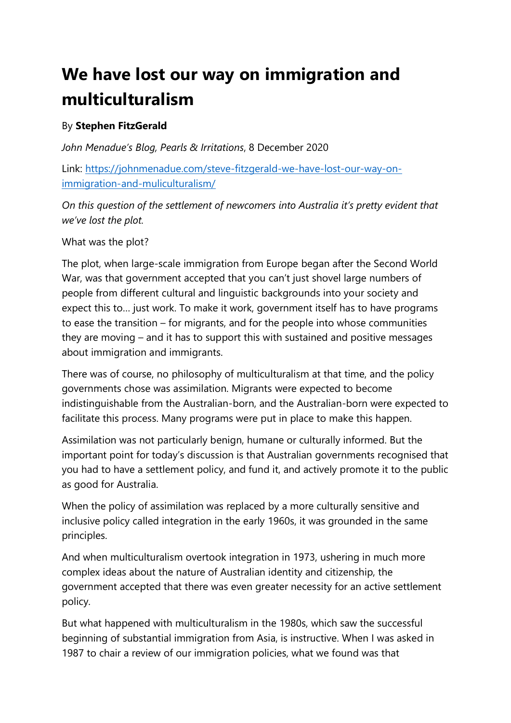## **We have lost our way on immigration and multiculturalism**

## By **Stephen FitzGerald**

*John Menadue's Blog, Pearls & Irritations*, 8 December 2020

Link: [https://johnmenadue.com/steve-fitzgerald-we-have-lost-our-way-on](https://johnmenadue.com/steve-fitzgerald-we-have-lost-our-way-on-immigration-and-muliculturalism/)[immigration-and-muliculturalism/](https://johnmenadue.com/steve-fitzgerald-we-have-lost-our-way-on-immigration-and-muliculturalism/)

*On this question of the settlement of newcomers into Australia it's pretty evident that we've lost the plot.*

What was the plot?

The plot, when large-scale immigration from Europe began after the Second World War, was that government accepted that you can't just shovel large numbers of people from different cultural and linguistic backgrounds into your society and expect this to… just work. To make it work, government itself has to have programs to ease the transition – for migrants, and for the people into whose communities they are moving – and it has to support this with sustained and positive messages about immigration and immigrants.

There was of course, no philosophy of multiculturalism at that time, and the policy governments chose was assimilation. Migrants were expected to become indistinguishable from the Australian-born, and the Australian-born were expected to facilitate this process. Many programs were put in place to make this happen.

Assimilation was not particularly benign, humane or culturally informed. But the important point for today's discussion is that Australian governments recognised that you had to have a settlement policy, and fund it, and actively promote it to the public as good for Australia.

When the policy of assimilation was replaced by a more culturally sensitive and inclusive policy called integration in the early 1960s, it was grounded in the same principles.

And when multiculturalism overtook integration in 1973, ushering in much more complex ideas about the nature of Australian identity and citizenship, the government accepted that there was even greater necessity for an active settlement policy.

But what happened with multiculturalism in the 1980s, which saw the successful beginning of substantial immigration from Asia, is instructive. When I was asked in 1987 to chair a review of our immigration policies, what we found was that